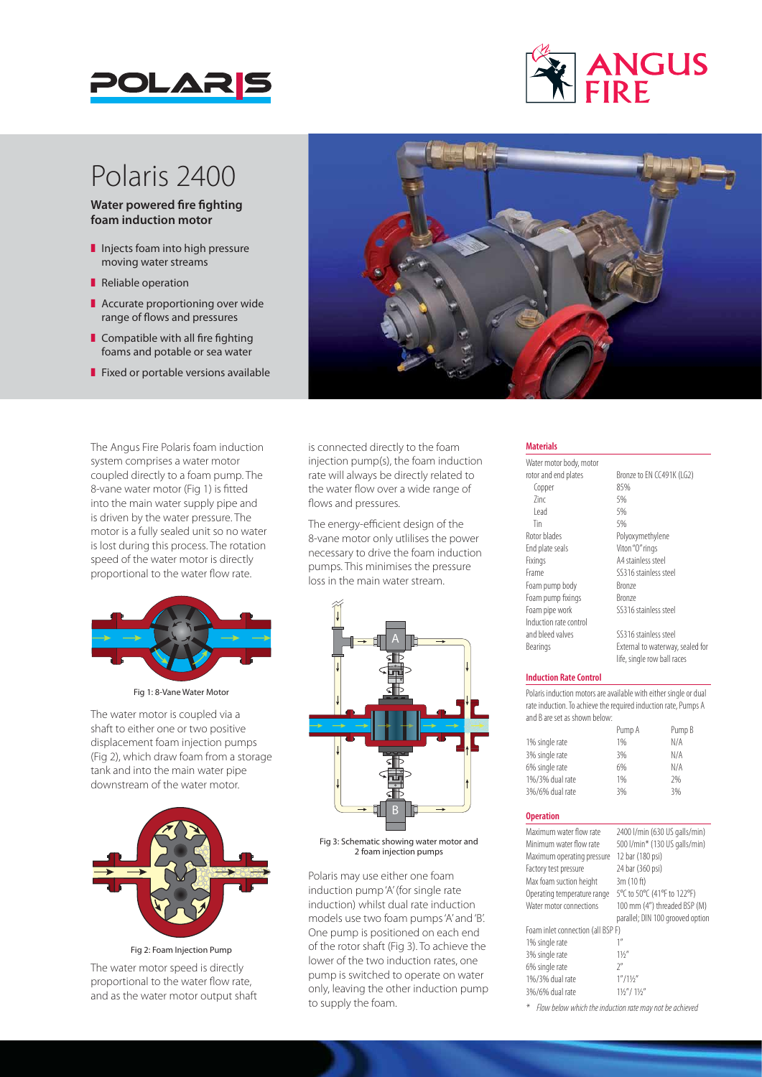



# Polaris 2400

**Water powered fire fighting foam induction motor**

- $\blacksquare$  Injects foam into high pressure moving water streams
- Reliable operation
- $\blacksquare$  Accurate proportioning over wide range of flows and pressures
- $\blacksquare$  Compatible with all fire fighting foams and potable or sea water
- $\blacksquare$  Fixed or portable versions available

The Angus Fire Polaris foam induction system comprises a water motor coupled directly to a foam pump. The 8-vane water motor (Fig 1) is fitted into the main water supply pipe and is driven by the water pressure. The motor is a fully sealed unit so no water is lost during this process. The rotation speed of the water motor is directly proportional to the water flow rate.



Fig 1: 8-Vane Water Motor

The water motor is coupled via a shaft to either one or two positive displacement foam injection pumps (Fig 2), which draw foam from a storage tank and into the main water pipe downstream of the water motor.



Fig 2: Foam Injection Pump

The water motor speed is directly proportional to the water flow rate, and as the water motor output shaft



is connected directly to the foam injection pump(s), the foam induction rate will always be directly related to the water flow over a wide range of flows and pressures.

The energy-efficient design of the 8-vane motor only utlilises the power necessary to drive the foam induction pumps. This minimises the pressure loss in the main water stream.



Fig 3: Schematic showing water motor and 2 foam injection pumps

Polaris may use either one foam induction pump 'A' (for single rate induction) whilst dual rate induction models use two foam pumps 'A' and 'B'. One pump is positioned on each end of the rotor shaft (Fig 3). To achieve the lower of the two induction rates, one pump is switched to operate on water only, leaving the other induction pump to supply the foam.

#### **Materials**

Water motor body, motor rotor and end plates<br>
Fonner<br>
85%<br>
85% Copper  $\frac{2}{1}$   $\frac{5}{6}$ <br> $\frac{5}{6}$ Lead 5%<br>Tin 5% Tin 5% Rotor blades Polyoxymethylene End plate seals Viton "O" rings Fixings A4 stainless steel Frame SS316 stainless steel Foam pump body Bronze Foam pump fixings Bronze<br>
Foam pipe work SS316 Induction rate control and bleed valves SS316 stainless steel Bearings External to waterway, sealed for

SS316 stainless steel

life, single row ball races

#### **Induction Rate Control**

Polaris induction motors are available with either single or dual rate induction. To achieve the required induction rate, Pumps A and B are set as shown below:

|                 | Pump A | Pump B |
|-----------------|--------|--------|
| 1% single rate  | 1%     | N/A    |
| 3% single rate  | 3%     | N/A    |
| 6% single rate  | 6%     | N/A    |
| 1%/3% dual rate | 1%     | 7%     |
| 3%/6% dual rate | 3%     | 3%     |
|                 |        |        |

#### **Operation**

| 2400 l/min (630 US galls/min)    |
|----------------------------------|
| 500 l/min* (130 US galls/min)    |
|                                  |
|                                  |
|                                  |
| 5°C to 50°C (41°F to 122°F)      |
| 100 mm (4") threaded BSP (M)     |
| parallel; DIN 100 grooved option |
|                                  |
|                                  |
|                                  |
|                                  |
|                                  |
|                                  |
|                                  |

*\* Flow below which the induction rate may not be achieved*